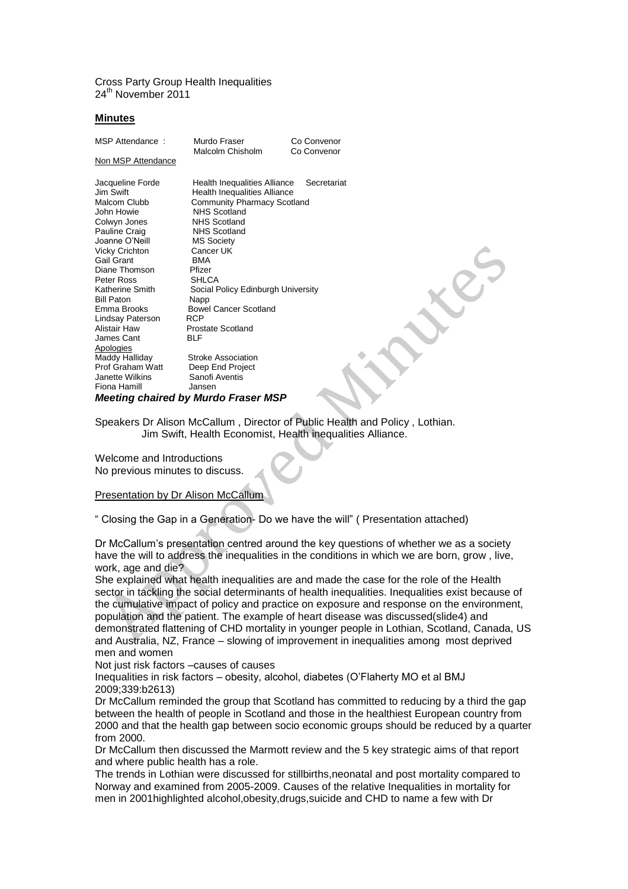Cross Party Group Health Inequalities 24<sup>th</sup> November 2011

## **Minutes**

| MSP Attendance:                     | Murdo Fraser<br>Malcolm Chisholm    | Co Convenor<br>Co Convenor |
|-------------------------------------|-------------------------------------|----------------------------|
| Non MSP Attendance                  |                                     |                            |
| Jacqueline Forde                    | Health Inequalities Alliance        | Secretariat                |
| Jim Swift                           | <b>Health Inequalities Alliance</b> |                            |
| Malcom Clubb                        | Community Pharmacy Scotland         |                            |
| John Howie                          | <b>NHS Scotland</b>                 |                            |
| Colwyn Jones                        | <b>NHS Scotland</b>                 |                            |
| Pauline Craig                       | <b>NHS Scotland</b>                 |                            |
| Joanne O'Neill                      | <b>MS Society</b>                   |                            |
| <b>Vicky Crichton</b>               | Cancer UK                           |                            |
| Gail Grant                          | <b>BMA</b>                          |                            |
| Diane Thomson                       | Pfizer                              |                            |
| Peter Ross                          | <b>SHLCA</b>                        |                            |
| Katherine Smith                     | Social Policy Edinburgh University  |                            |
| <b>Bill Paton</b>                   | Napp                                |                            |
| Emma Brooks                         | <b>Bowel Cancer Scotland</b>        |                            |
| Lindsay Paterson                    | <b>RCP</b>                          |                            |
| Alistair Haw                        | <b>Prostate Scotland</b>            |                            |
| James Cant                          | <b>BLF</b>                          |                            |
| Apologies                           |                                     |                            |
| Maddy Halliday                      | <b>Stroke Association</b>           |                            |
| Prof Graham Watt                    | Deep End Project                    |                            |
| Janette Wilkins                     | Sanofi Aventis                      |                            |
| Fiona Hamill                        | Jansen                              |                            |
| Meeting chaired by Murdo Fraser MSP |                                     |                            |

Speakers Dr Alison McCallum , Director of Public Health and Policy , Lothian. Jim Swift, Health Economist, Health inequalities Alliance.

Welcome and Introductions No previous minutes to discuss.

## Presentation by Dr Alison McCallum

" Closing the Gap in a Generation- Do we have the will" ( Presentation attached)

Dr McCallum's presentation centred around the key questions of whether we as a society have the will to address the inequalities in the conditions in which we are born, grow , live, work, age and die?

She explained what health inequalities are and made the case for the role of the Health sector in tackling the social determinants of health inequalities. Inequalities exist because of the cumulative impact of policy and practice on exposure and response on the environment, population and the patient. The example of heart disease was discussed(slide4) and demonstrated flattening of CHD mortality in younger people in Lothian, Scotland, Canada, US and Australia, NZ, France – slowing of improvement in inequalities among most deprived men and women

Not just risk factors –causes of causes

Inequalities in risk factors – obesity, alcohol, diabetes (O'Flaherty MO et al BMJ 2009;339:b2613)

Dr McCallum reminded the group that Scotland has committed to reducing by a third the gap between the health of people in Scotland and those in the healthiest European country from 2000 and that the health gap between socio economic groups should be reduced by a quarter from 2000.

Dr McCallum then discussed the Marmott review and the 5 key strategic aims of that report and where public health has a role.

The trends in Lothian were discussed for stillbirths,neonatal and post mortality compared to Norway and examined from 2005-2009. Causes of the relative Inequalities in mortality for men in 2001highlighted alcohol,obesity,drugs,suicide and CHD to name a few with Dr